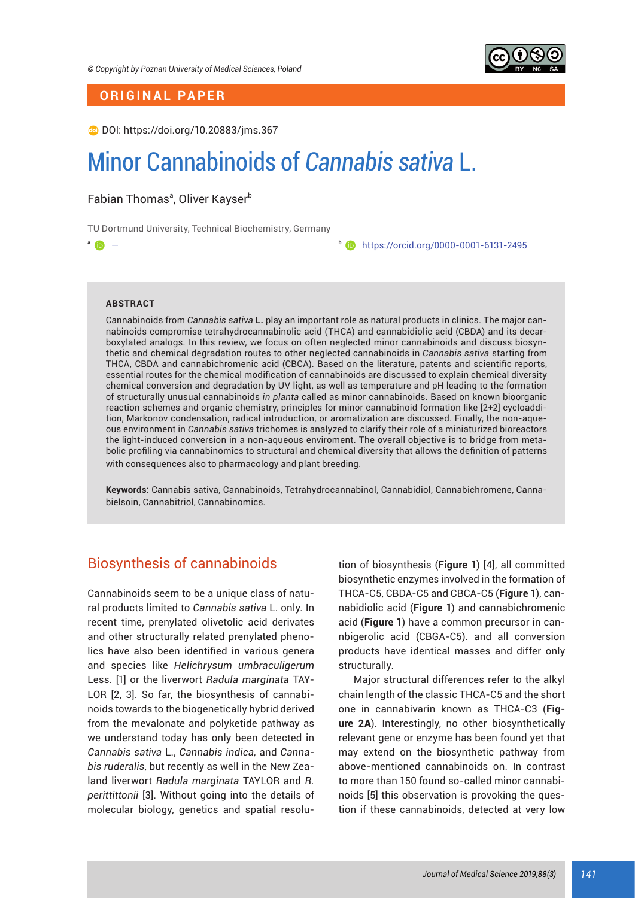

# **ORIGINAL PAPER**

DOI: https://doi.org/10.20883/jms.367

# Minor Cannabinoids of *Cannabis sativa* L.

Fabian Thomasª, Oliver Kayser<sup>b</sup>

TU Dortmund University, Technical Biochemistry, Germany

**<sup>a</sup>** — **<sup>b</sup>** https://orcid.org/0000-0001-6131-2495

## **ABSTRACT**

Cannabinoids from *Cannabis sativa* **L.** play an important role as natural products in clinics. The major cannabinoids compromise tetrahydrocannabinolic acid (THCA) and cannabidiolic acid (CBDA) and its decarboxylated analogs. In this review, we focus on often neglected minor cannabinoids and discuss biosynthetic and chemical degradation routes to other neglected cannabinoids in *Cannabis sativa* starting from THCA, CBDA and cannabichromenic acid (CBCA). Based on the literature, patents and scientific reports, essential routes for the chemical modification of cannabinoids are discussed to explain chemical diversity chemical conversion and degradation by UV light, as well as temperature and pH leading to the formation of structurally unusual cannabinoids *in planta* called as minor cannabinoids. Based on known bioorganic reaction schemes and organic chemistry, principles for minor cannabinoid formation like [2+2] cycloaddition, Markonov condensation, radical introduction, or aromatization are discussed. Finally, the non-aqueous environment in *Cannabis sativa* trichomes is analyzed to clarify their role of a miniaturized bioreactors the light-induced conversion in a non-aqueous enviroment. The overall objective is to bridge from metabolic profiling via cannabinomics to structural and chemical diversity that allows the definition of patterns with consequences also to pharmacology and plant breeding.

**Keywords:** Cannabis sativa, Cannabinoids, Tetrahydrocannabinol, Cannabidiol, Cannabichromene, Cannabielsoin, Cannabitriol, Cannabinomics.

# Biosynthesis of cannabinoids

Cannabinoids seem to be a unique class of natural products limited to *Cannabis sativa* L. only. In recent time, prenylated olivetolic acid derivates and other structurally related prenylated phenolics have also been identified in various genera and species like *Helichrysum umbraculigerum* Less. [1] or the liverwort *Radula marginata* TAY-LOR [2, 3]. So far, the biosynthesis of cannabinoids towards to the biogenetically hybrid derived from the mevalonate and polyketide pathway as we understand today has only been detected in *Cannabis sativa* L., *Cannabis indica,* and *Cannabis ruderalis*, but recently as well in the New Zealand liverwort *Radula marginata* TAYLOR and *R. perittittonii* [3]. Without going into the details of molecular biology, genetics and spatial resolution of biosynthesis (**Figure 1**) [4], all committed biosynthetic enzymes involved in the formation of THCA-C5, CBDA-C5 and CBCA-C5 (**Figure 1**), cannabidiolic acid (**Figure 1**) and cannabichromenic acid (**Figure 1**) have a common precursor in cannbigerolic acid (CBGA-C5). and all conversion products have identical masses and differ only structurally.

Major structural differences refer to the alkyl chain length of the classic THCA-C5 and the short one in cannabivarin known as THCA-C3 (**Figure 2**A). Interestingly, no other biosynthetically relevant gene or enzyme has been found yet that may extend on the biosynthetic pathway from above-mentioned cannabinoids on. In contrast to more than 150 found so-called minor cannabinoids [5] this observation is provoking the question if these cannabinoids, detected at very low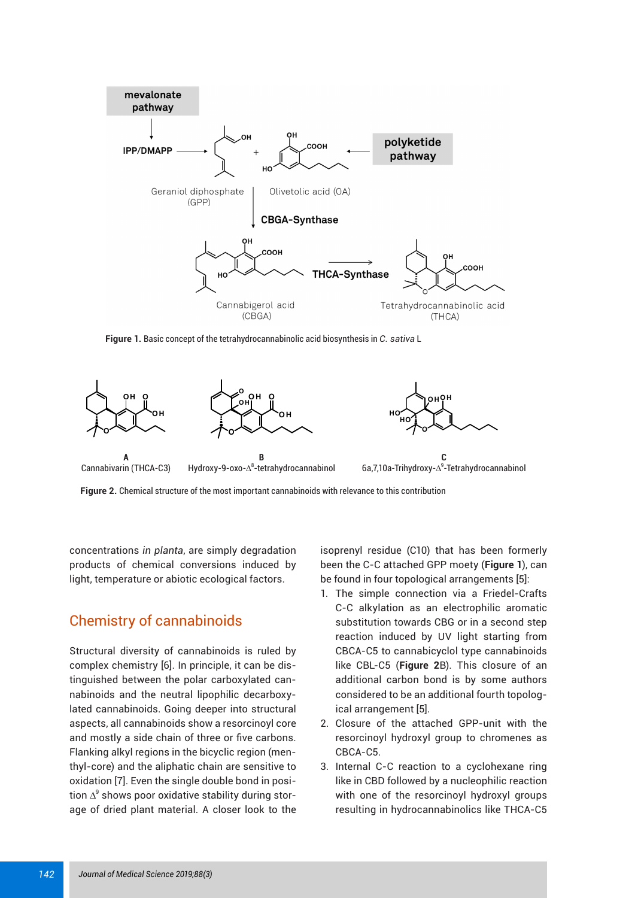

**Figure 1.** Basic concept of the tetrahydrocannabinolic acid biosynthesis in *C. sativa* L



**Figure 2.** Chemical structure of the most important cannabinoids with relevance to this contribution

concentrations *in planta*, are simply degradation products of chemical conversions induced by light, temperature or abiotic ecological factors.

# Chemistry of cannabinoids

Structural diversity of cannabinoids is ruled by complex chemistry [6]. In principle, it can be distinguished between the polar carboxylated cannabinoids and the neutral lipophilic decarboxylated cannabinoids. Going deeper into structural aspects, all cannabinoids show a resorcinoyl core and mostly a side chain of three or five carbons. Flanking alkyl regions in the bicyclic region (menthyl-core) and the aliphatic chain are sensitive to oxidation [7]. Even the single double bond in position  $\Delta^9$  shows poor oxidative stability during storage of dried plant material. A closer look to the

isoprenyl residue (C10) that has been formerly been the C-C attached GPP moety (**Figure 1**), can be found in four topological arrangements [5]:

- 1. The simple connection via a Friedel-Crafts C-C alkylation as an electrophilic aromatic substitution towards CBG or in a second step reaction induced by UV light starting from CBCA-C5 to cannabicyclol type cannabinoids like CBL-C5 (**Figure 2**B). This closure of an additional carbon bond is by some authors considered to be an additional fourth topological arrangement [5].
- 2. Closure of the attached GPP-unit with the resorcinoyl hydroxyl group to chromenes as CBCA-C5.
- 3. Internal C-C reaction to a cyclohexane ring like in CBD followed by a nucleophilic reaction with one of the resorcinoyl hydroxyl groups resulting in hydrocannabinolics like THCA-C5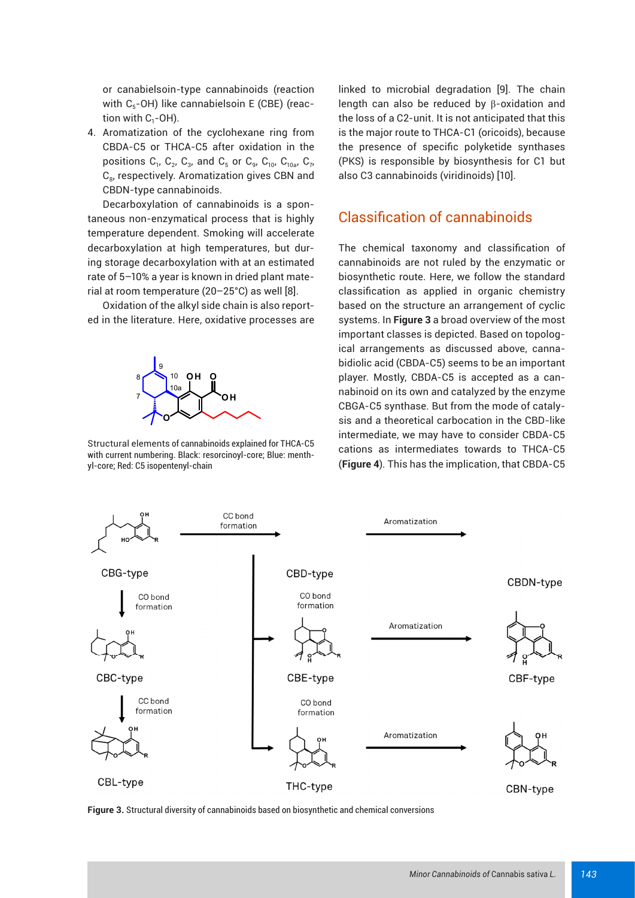or canabielsoin-type cannabinoids (reaction with  $C_5$ -OH) like cannabielsoin E (CBE) (reaction with  $C_1$ -OH).

4. Aromatization of the cyclohexane ring from CBDA-C5 or THCA-C5 after oxidation in the positions  $C_1$ ,  $C_2$ ,  $C_3$ , and  $C_5$  or  $C_9$ ,  $C_{10}$ ,  $C_{10a}$ ,  $C_7$ , C<sub>8</sub>, respectively. Aromatization gives CBN and CBDN-type cannabinoids.

Decarboxylation of cannabinoids is a spontaneous non-enzymatical process that is highly temperature dependent. Smoking will accelerate decarboxylation at high temperatures, but during storage decarboxylation with at an estimated rate of 5–10% a year is known in dried plant material at room temperature (20–25°C) as well [8].

Oxidation of the alkyl side chain is also reported in the literature. Here, oxidative processes are



Structural elements of cannabinoids explained for THCA-C5 with current numbering. Black: resorcinoyl-core; Blue: menthyl-core; Red: C5 isopentenyl-chain

linked to microbial degradation [9]. The chain length can also be reduced by β-oxidation and the loss of a C2-unit. It is not anticipated that this is the major route to THCA-C1 (oricoids), because the presence of specific polyketide synthases (PKS) is responsible by biosynthesis for C1 but also C3 cannabinoids (viridinoids) [10].

# Classification of cannabinoids

The chemical taxonomy and classification of cannabinoids are not ruled by the enzymatic or biosynthetic route. Here, we follow the standard classification as applied in organic chemistry based on the structure an arrangement of cyclic systems. In **Figure 3** a broad overview of the most important classes is depicted. Based on topological arrangements as discussed above, cannabidiolic acid (CBDA-C5) seems to be an important player. Mostly, CBDA-C5 is accepted as a cannabinoid on its own and catalyzed by the enzyme CBGA-C5 synthase. But from the mode of catalysis and a theoretical carbocation in the CBD-like intermediate, we may have to consider CBDA-C5 cations as intermediates towards to THCA-C5 (**Figure 4**). This has the implication, that CBDA-C5



**Figure 3.** Structural diversity of cannabinoids based on biosynthetic and chemical conversions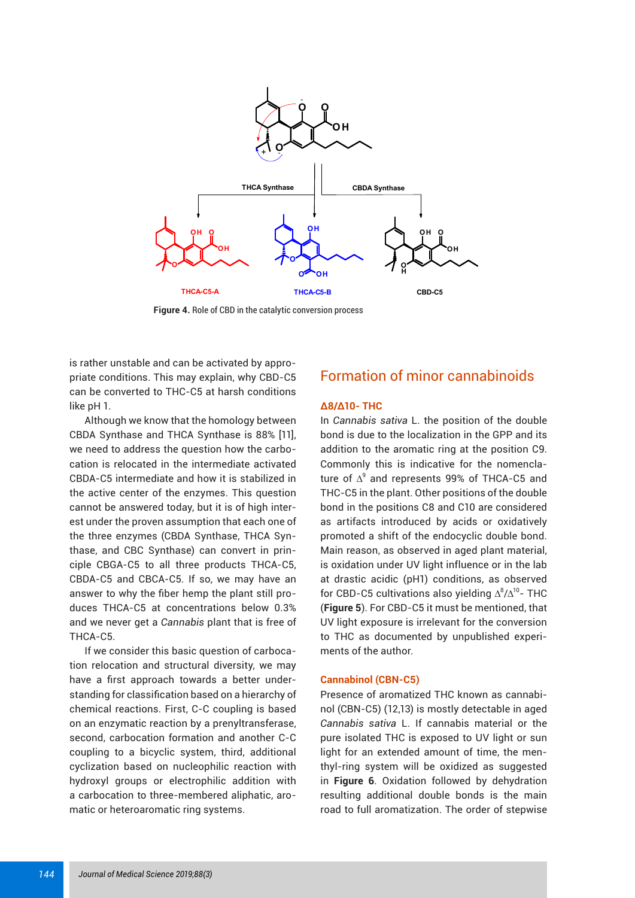

**Figure 4.** Role of CBD in the catalytic conversion process

is rather unstable and can be activated by appropriate conditions. This may explain, why CBD-C5 can be converted to THC-C5 at harsh conditions like pH 1.

Although we know that the homology between CBDA Synthase and THCA Synthase is 88% [11], we need to address the question how the carbocation is relocated in the intermediate activated CBDA-C5 intermediate and how it is stabilized in the active center of the enzymes. This question cannot be answered today, but it is of high interest under the proven assumption that each one of the three enzymes (CBDA Synthase, THCA Synthase, and CBC Synthase) can convert in principle CBGA-C5 to all three products THCA-C5, CBDA-C5 and CBCA-C5. If so, we may have an answer to why the fiber hemp the plant still produces THCA-C5 at concentrations below 0.3% and we never get a *Cannabis* plant that is free of THCA-C5.

If we consider this basic question of carbocation relocation and structural diversity, we may have a first approach towards a better understanding for classification based on a hierarchy of chemical reactions. First, C-C coupling is based on an enzymatic reaction by a prenyltransferase, second, carbocation formation and another C-C coupling to a bicyclic system, third, additional cyclization based on nucleophilic reaction with hydroxyl groups or electrophilic addition with a carbocation to three-membered aliphatic, aromatic or heteroaromatic ring systems.

# Formation of minor cannabinoids

## **∆8/∆10- THC**

In *Cannabis sativa* L. the position of the double bond is due to the localization in the GPP and its addition to the aromatic ring at the position C9. Commonly this is indicative for the nomenclature of  $\Delta^9$  and represents 99% of THCA-C5 and THC-C5 in the plant. Other positions of the double bond in the positions C8 and C10 are considered as artifacts introduced by acids or oxidatively promoted a shift of the endocyclic double bond. Main reason, as observed in aged plant material, is oxidation under UV light influence or in the lab at drastic acidic (pH1) conditions, as observed for CBD-C5 cultivations also yielding  $\Delta^8/\Delta^{10}$ - THC (**Figure 5**). For CBD-C5 it must be mentioned, that UV light exposure is irrelevant for the conversion to THC as documented by unpublished experiments of the author.

## **Cannabinol (CBN-C5)**

Presence of aromatized THC known as cannabinol (CBN-C5) (12,13) is mostly detectable in aged *Cannabis sativa* L. If cannabis material or the pure isolated THC is exposed to UV light or sun light for an extended amount of time, the menthyl-ring system will be oxidized as suggested in **Figure 6**. Oxidation followed by dehydration resulting additional double bonds is the main road to full aromatization. The order of stepwise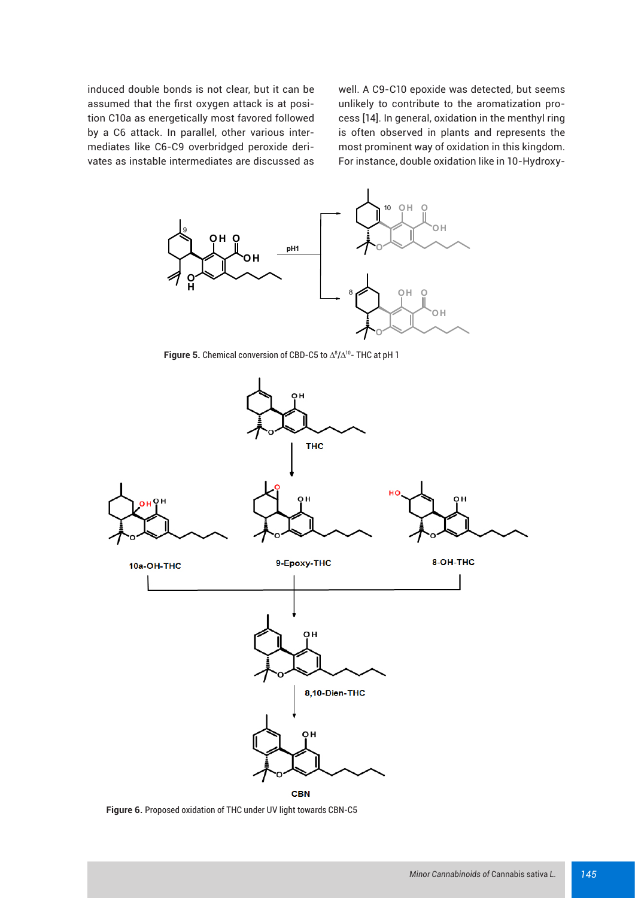induced double bonds is not clear, but it can be assumed that the first oxygen attack is at position C10a as energetically most favored followed by a C6 attack. In parallel, other various intermediates like C6-C9 overbridged peroxide derivates as instable intermediates are discussed as well. A C9-C10 epoxide was detected, but seems unlikely to contribute to the aromatization process [14]. In general, oxidation in the menthyl ring is often observed in plants and represents the most prominent way of oxidation in this kingdom. For instance, double oxidation like in 10-Hydroxy-



**Figure 5.** Chemical conversion of CBD-C5 to  $\Delta^8/\Delta^{10}$ - THC at pH 1



**Figure 6.** Proposed oxidation of THC under UV light towards CBN-C5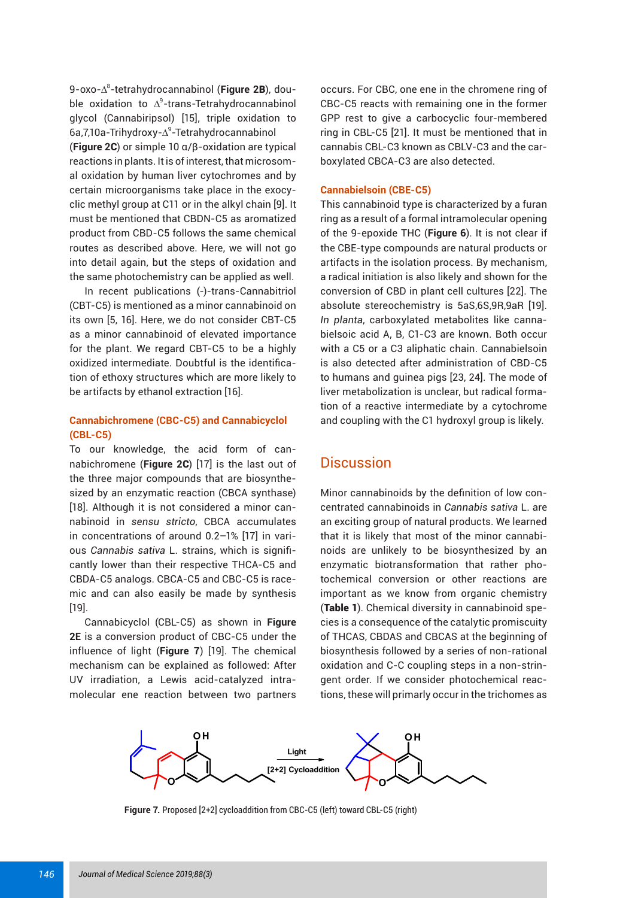9-oxo-Δ<sup>8</sup>-tetrahydrocannabinol (**Figure 2B**), double oxidation to  $\Delta^9$ -trans-Tetrahydrocannabinol glycol (Cannabiripsol) [15], triple oxidation to 6a,7,10a-Trihydroxy-Δ<sup>9</sup>-Tetrahydrocannabinol (**Figure 2**C) or simple 10 α/β-oxidation are typical reactions in plants. It is of interest, that microsomal oxidation by human liver cytochromes and by certain microorganisms take place in the exocyclic methyl group at C11 or in the alkyl chain [9]. It must be mentioned that CBDN-C5 as aromatized product from CBD-C5 follows the same chemical routes as described above. Here, we will not go into detail again, but the steps of oxidation and the same photochemistry can be applied as well.

In recent publications (-)-trans-Cannabitriol (CBT-C5) is mentioned as a minor cannabinoid on its own [5, 16]. Here, we do not consider CBT-C5 as a minor cannabinoid of elevated importance for the plant. We regard CBT-C5 to be a highly oxidized intermediate. Doubtful is the identification of ethoxy structures which are more likely to be artifacts by ethanol extraction [16].

## **Cannabichromene (CBC-C5) and Cannabicyclol (CBL-C5)**

To our knowledge, the acid form of cannabichromene (**Figure 2**C) [17] is the last out of the three major compounds that are biosynthesized by an enzymatic reaction (CBCA synthase) [18]. Although it is not considered a minor cannabinoid in *sensu stricto*, CBCA accumulates in concentrations of around 0.2–1% [17] in various *Cannabis sativa* L. strains, which is signifi cantly lower than their respective THCA-C5 and CBDA-C5 analogs. CBCA-C5 and CBC-C5 is racemic and can also easily be made by synthesis [19].

Cannabicyclol (CBL-C5) as shown in **Figure 2E** is a conversion product of CBC-C5 under the influence of light (**Figure 7**) [19]. The chemical mechanism can be explained as followed: After UV irradiation, a Lewis acid-catalyzed intramolecular ene reaction between two partners

occurs. For CBC, one ene in the chromene ring of CBC-C5 reacts with remaining one in the former GPP rest to give a carbocyclic four-membered ring in CBL-C5 [21]. It must be mentioned that in cannabis CBL-C3 known as CBLV-C3 and the carboxylated CBCA-C3 are also detected.

## **Cannabielsoin (CBE-C5)**

This cannabinoid type is characterized by a furan ring as a result of a formal intramolecular opening of the 9-epoxide THC (**Figure 6**). It is not clear if the CBE-type compounds are natural products or artifacts in the isolation process. By mechanism, a radical initiation is also likely and shown for the conversion of CBD in plant cell cultures [22]. The absolute stereochemistry is 5aS,6S,9R,9aR [19]. *In planta*, carboxylated metabolites like cannabielsoic acid A, B, C1-C3 are known. Both occur with a C5 or a C3 aliphatic chain. Cannabielsoin is also detected after administration of CBD-C5 to humans and guinea pigs [23, 24]. The mode of liver metabolization is unclear, but radical formation of a reactive intermediate by a cytochrome and coupling with the C1 hydroxyl group is likely.

## **Discussion**

Minor cannabinoids by the definition of low concentrated cannabinoids in *Cannabis sativa* L. are an exciting group of natural products. We learned that it is likely that most of the minor cannabinoids are unlikely to be biosynthesized by an enzymatic biotransformation that rather photochemical conversion or other reactions are important as we know from organic chemistry (Table 1). Chemical diversity in cannabinoid species is a consequence of the catalytic promiscuity of THCAS, CBDAS and CBCAS at the beginning of biosynthesis followed by a series of non-rational oxidation and C-C coupling steps in a non-stringent order. If we consider photochemical reactions, these will primarly occur in the trichomes as



**Figure 7.** Proposed [2+2] cycloaddition from CBC-C5 (left) toward CBL-C5 (right)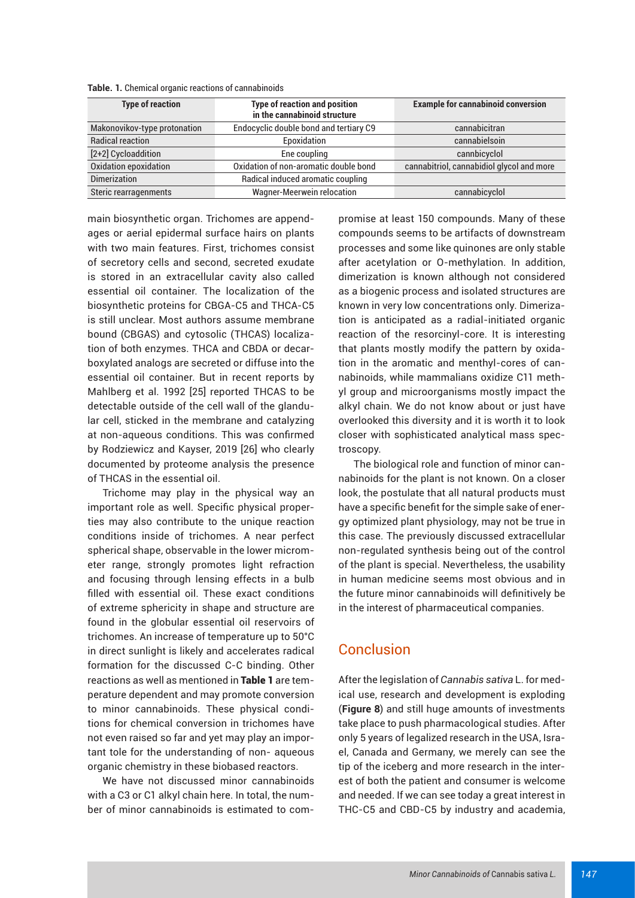| <b>Type of reaction</b>      | <b>Type of reaction and position</b><br>in the cannabinoid structure | <b>Example for cannabinoid conversion</b> |
|------------------------------|----------------------------------------------------------------------|-------------------------------------------|
| Makonovikov-type protonation | Endocyclic double bond and tertiary C9                               | cannabicitran                             |
| <b>Radical reaction</b>      | Epoxidation                                                          | cannabielsoin                             |
| [2+2] Cycloaddition          | Ene coupling                                                         | cannbicyclol                              |
| Oxidation epoxidation        | Oxidation of non-aromatic double bond                                | cannabitriol, cannabidiol glycol and more |
| <b>Dimerization</b>          | Radical induced aromatic coupling                                    |                                           |
| Steric rearragenments        | <b>Wagner-Meerwein relocation</b>                                    | cannabicyclol                             |

**Table. 1.** Chemical organic reactions of cannabinoids

main biosynthetic organ. Trichomes are appendages or aerial epidermal surface hairs on plants with two main features. First, trichomes consist of secretory cells and second, secreted exudate is stored in an extracellular cavity also called essential oil container. The localization of the biosynthetic proteins for CBGA-C5 and THCA-C5 is still unclear. Most authors assume membrane bound (CBGAS) and cytosolic (THCAS) localization of both enzymes. THCA and CBDA or decarboxylated analogs are secreted or diffuse into the essential oil container. But in recent reports by Mahlberg et al. 1992 [25] reported THCAS to be detectable outside of the cell wall of the glandular cell, sticked in the membrane and catalyzing at non-aqueous conditions. This was confirmed by Rodziewicz and Kayser, 2019 [26] who clearly documented by proteome analysis the presence of THCAS in the essential oil.

Trichome may play in the physical way an important role as well. Specific physical properties may also contribute to the unique reaction conditions inside of trichomes. A near perfect spherical shape, observable in the lower micrometer range, strongly promotes light refraction and focusing through lensing effects in a bulb filled with essential oil. These exact conditions of extreme sphericity in shape and structure are found in the globular essential oil reservoirs of trichomes. An increase of temperature up to 50°C in direct sunlight is likely and accelerates radical formation for the discussed C-C binding. Other reactions as well as mentioned in Table 1 are temperature dependent and may promote conversion to minor cannabinoids. These physical conditions for chemical conversion in trichomes have not even raised so far and yet may play an important tole for the understanding of non- aqueous organic chemistry in these biobased reactors.

We have not discussed minor cannabinoids with a C3 or C1 alkyl chain here. In total, the number of minor cannabinoids is estimated to compromise at least 150 compounds. Many of these compounds seems to be artifacts of downstream processes and some like quinones are only stable after acetylation or O-methylation. In addition, dimerization is known although not considered as a biogenic process and isolated structures are known in very low concentrations only. Dimerization is anticipated as a radial-initiated organic reaction of the resorcinyl-core. It is interesting that plants mostly modify the pattern by oxidation in the aromatic and menthyl-cores of cannabinoids, while mammalians oxidize C11 methyl group and microorganisms mostly impact the alkyl chain. We do not know about or just have overlooked this diversity and it is worth it to look closer with sophisticated analytical mass spectroscopy.

The biological role and function of minor cannabinoids for the plant is not known. On a closer look, the postulate that all natural products must have a specific benefit for the simple sake of energy optimized plant physiology, may not be true in this case. The previously discussed extracellular non-regulated synthesis being out of the control of the plant is special. Nevertheless, the usability in human medicine seems most obvious and in the future minor cannabinoids will definitively be in the interest of pharmaceutical companies.

# **Conclusion**

After the legislation of *Cannabis sativa* L. for medical use, research and development is exploding (**Figure 8**) and still huge amounts of investments take place to push pharmacological studies. After only 5 years of legalized research in the USA, Israel, Canada and Germany, we merely can see the tip of the iceberg and more research in the interest of both the patient and consumer is welcome and needed. If we can see today a great interest in THC-C5 and CBD-C5 by industry and academia,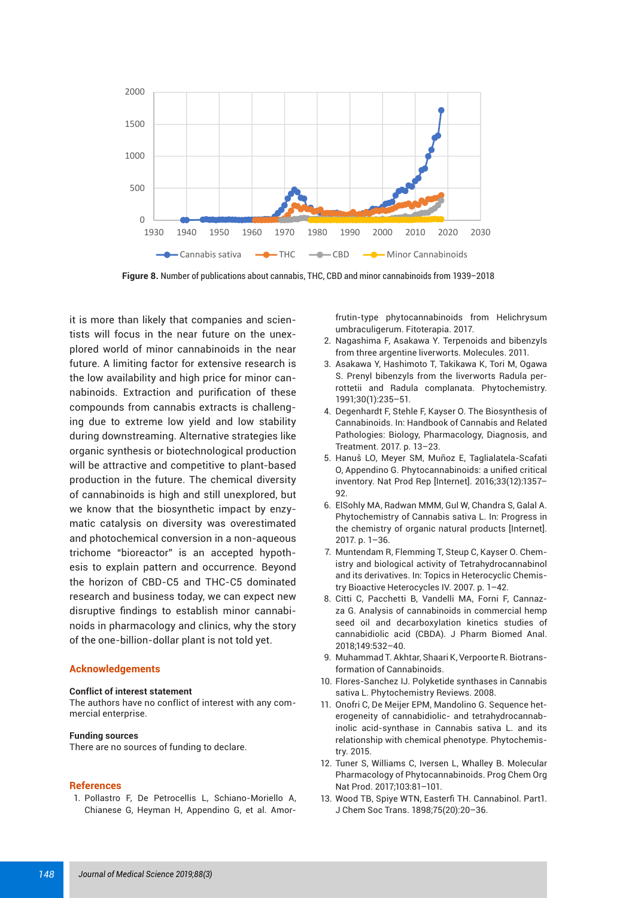

**Figure 8.** Number of publications about cannabis, THC, CBD and minor cannabinoids from 1939–2018

it is more than likely that companies and scientists will focus in the near future on the unexplored world of minor cannabinoids in the near future. A limiting factor for extensive research is the low availability and high price for minor cannabinoids. Extraction and purification of these compounds from cannabis extracts is challenging due to extreme low yield and low stability during downstreaming. Alternative strategies like organic synthesis or biotechnological production will be attractive and competitive to plant-based production in the future. The chemical diversity of cannabinoids is high and still unexplored, but we know that the biosynthetic impact by enzymatic catalysis on diversity was overestimated and photochemical conversion in a non-aqueous trichome "bioreactor" is an accepted hypothesis to explain pattern and occurrence. Beyond the horizon of CBD-C5 and THC-C5 dominated research and business today, we can expect new disruptive findings to establish minor cannabinoids in pharmacology and clinics, why the story of the one-billion-dollar plant is not told yet.

### **Acknowledgements**

#### **Conflict of interest statement**

The authors have no conflict of interest with any commercial enterprise.

#### **Funding sources**

There are no sources of funding to declare.

#### **References**

1. Pollastro F, De Petrocellis L, Schiano-Moriello A, Chianese G, Heyman H, Appendino G, et al. Amorfrutin-type phytocannabinoids from Helichrysum umbraculigerum. Fitoterapia. 2017.

- 2. Nagashima F, Asakawa Y. Terpenoids and bibenzyls from three argentine liverworts. Molecules. 2011.
- 3. Asakawa Y, Hashimoto T, Takikawa K, Tori M, Ogawa S. Prenyl bibenzyls from the liverworts Radula perrottetii and Radula complanata. Phytochemistry. 1991;30(1):235–51.
- 4. Degenhardt F, Stehle F, Kayser O. The Biosynthesis of Cannabinoids. In: Handbook of Cannabis and Related Pathologies: Biology, Pharmacology, Diagnosis, and Treatment. 2017. p. 13–23.
- 5. Hanuš LO, Meyer SM, Muñoz E, Taglialatela-Scafati O, Appendino G. Phytocannabinoids: a unified critical inventory. Nat Prod Rep [Internet]. 2016;33(12):1357– 92.
- 6. ElSohly MA, Radwan MMM, Gul W, Chandra S, Galal A. Phytochemistry of Cannabis sativa L. In: Progress in the chemistry of organic natural products [Internet]. 2017. p. 1–36.
- 7. Muntendam R, Flemming T, Steup C, Kayser O. Chemistry and biological activity of Tetrahydrocannabinol and its derivatives. In: Topics in Heterocyclic Chemistry Bioactive Heterocycles IV. 2007. p. 1–42.
- 8. Citti C, Pacchetti B, Vandelli MA, Forni F, Cannazza G. Analysis of cannabinoids in commercial hemp seed oil and decarboxylation kinetics studies of cannabidiolic acid (CBDA). J Pharm Biomed Anal. 2018;149:532–40.
- 9. Muhammad T. Akhtar, Shaari K, Verpoorte R. Biotransformation of Cannabinoids.
- 10. Flores-Sanchez IJ. Polyketide synthases in Cannabis sativa L. Phytochemistry Reviews. 2008.
- 11. Onofri C, De Meijer EPM, Mandolino G. Sequence heterogeneity of cannabidiolic- and tetrahydrocannabinolic acid-synthase in Cannabis sativa L. and its relationship with chemical phenotype. Phytochemistry. 2015.
- 12. Tuner S, Williams C, Iversen L, Whalley B. Molecular Pharmacology of Phytocannabinoids. Prog Chem Org Nat Prod. 2017;103:81–101.
- 13. Wood TB, Spiye WTN, Easterfi TH. Cannabinol. Part1. J Chem Soc Trans. 1898;75(20):20–36.